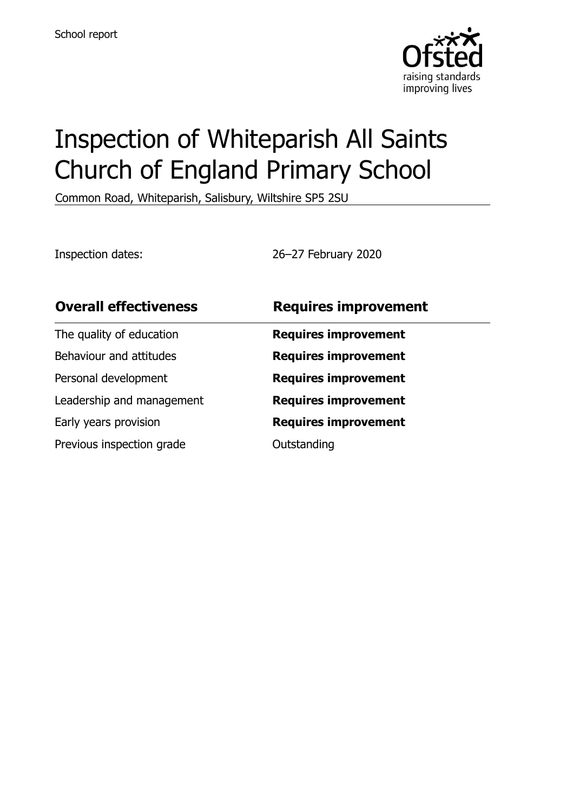

# Inspection of Whiteparish All Saints Church of England Primary School

Common Road, Whiteparish, Salisbury, Wiltshire SP5 2SU

Inspection dates: 26–27 February 2020

| <b>Overall effectiveness</b> | <b>Requires improvement</b> |
|------------------------------|-----------------------------|
| The quality of education     | <b>Requires improvement</b> |
| Behaviour and attitudes      | <b>Requires improvement</b> |
| Personal development         | <b>Requires improvement</b> |
| Leadership and management    | <b>Requires improvement</b> |
| Early years provision        | <b>Requires improvement</b> |
| Previous inspection grade    | Outstanding                 |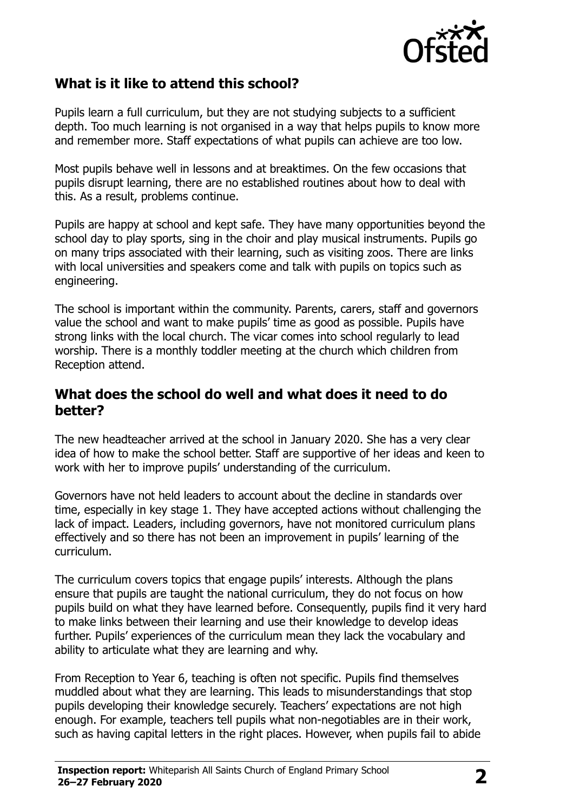

#### **What is it like to attend this school?**

Pupils learn a full curriculum, but they are not studying subjects to a sufficient depth. Too much learning is not organised in a way that helps pupils to know more and remember more. Staff expectations of what pupils can achieve are too low.

Most pupils behave well in lessons and at breaktimes. On the few occasions that pupils disrupt learning, there are no established routines about how to deal with this. As a result, problems continue.

Pupils are happy at school and kept safe. They have many opportunities beyond the school day to play sports, sing in the choir and play musical instruments. Pupils go on many trips associated with their learning, such as visiting zoos. There are links with local universities and speakers come and talk with pupils on topics such as engineering.

The school is important within the community. Parents, carers, staff and governors value the school and want to make pupils' time as good as possible. Pupils have strong links with the local church. The vicar comes into school regularly to lead worship. There is a monthly toddler meeting at the church which children from Reception attend.

#### **What does the school do well and what does it need to do better?**

The new headteacher arrived at the school in January 2020. She has a very clear idea of how to make the school better. Staff are supportive of her ideas and keen to work with her to improve pupils' understanding of the curriculum.

Governors have not held leaders to account about the decline in standards over time, especially in key stage 1. They have accepted actions without challenging the lack of impact. Leaders, including governors, have not monitored curriculum plans effectively and so there has not been an improvement in pupils' learning of the curriculum.

The curriculum covers topics that engage pupils' interests. Although the plans ensure that pupils are taught the national curriculum, they do not focus on how pupils build on what they have learned before. Consequently, pupils find it very hard to make links between their learning and use their knowledge to develop ideas further. Pupils' experiences of the curriculum mean they lack the vocabulary and ability to articulate what they are learning and why.

From Reception to Year 6, teaching is often not specific. Pupils find themselves muddled about what they are learning. This leads to misunderstandings that stop pupils developing their knowledge securely. Teachers' expectations are not high enough. For example, teachers tell pupils what non-negotiables are in their work, such as having capital letters in the right places. However, when pupils fail to abide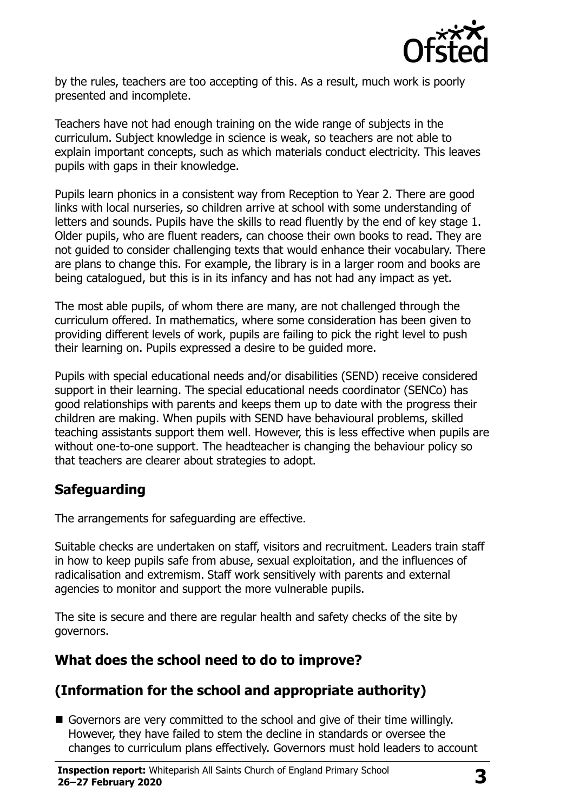

by the rules, teachers are too accepting of this. As a result, much work is poorly presented and incomplete.

Teachers have not had enough training on the wide range of subjects in the curriculum. Subject knowledge in science is weak, so teachers are not able to explain important concepts, such as which materials conduct electricity. This leaves pupils with gaps in their knowledge.

Pupils learn phonics in a consistent way from Reception to Year 2. There are good links with local nurseries, so children arrive at school with some understanding of letters and sounds. Pupils have the skills to read fluently by the end of key stage 1. Older pupils, who are fluent readers, can choose their own books to read. They are not guided to consider challenging texts that would enhance their vocabulary. There are plans to change this. For example, the library is in a larger room and books are being catalogued, but this is in its infancy and has not had any impact as yet.

The most able pupils, of whom there are many, are not challenged through the curriculum offered. In mathematics, where some consideration has been given to providing different levels of work, pupils are failing to pick the right level to push their learning on. Pupils expressed a desire to be guided more.

Pupils with special educational needs and/or disabilities (SEND) receive considered support in their learning. The special educational needs coordinator (SENCo) has good relationships with parents and keeps them up to date with the progress their children are making. When pupils with SEND have behavioural problems, skilled teaching assistants support them well. However, this is less effective when pupils are without one-to-one support. The headteacher is changing the behaviour policy so that teachers are clearer about strategies to adopt.

## **Safeguarding**

The arrangements for safeguarding are effective.

Suitable checks are undertaken on staff, visitors and recruitment. Leaders train staff in how to keep pupils safe from abuse, sexual exploitation, and the influences of radicalisation and extremism. Staff work sensitively with parents and external agencies to monitor and support the more vulnerable pupils.

The site is secure and there are regular health and safety checks of the site by governors.

## **What does the school need to do to improve?**

# **(Information for the school and appropriate authority)**

■ Governors are very committed to the school and give of their time willingly. However, they have failed to stem the decline in standards or oversee the changes to curriculum plans effectively. Governors must hold leaders to account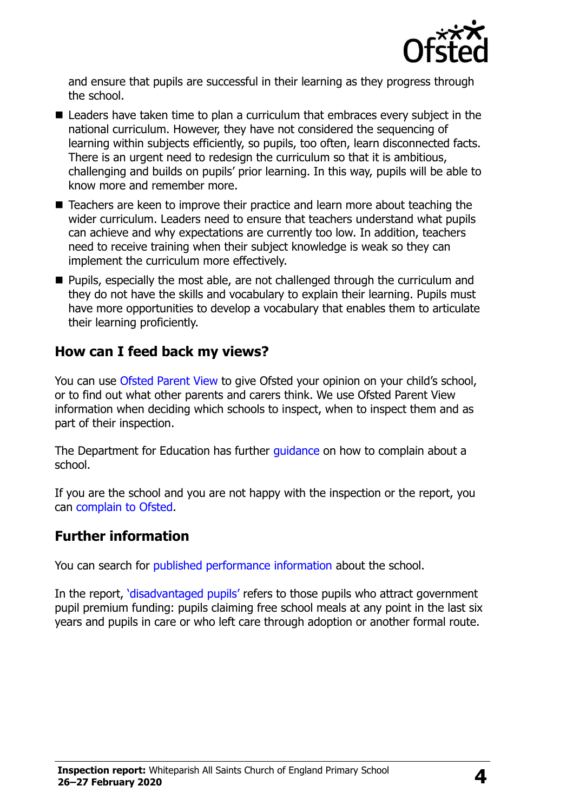

and ensure that pupils are successful in their learning as they progress through the school.

- Leaders have taken time to plan a curriculum that embraces every subject in the national curriculum. However, they have not considered the sequencing of learning within subjects efficiently, so pupils, too often, learn disconnected facts. There is an urgent need to redesign the curriculum so that it is ambitious, challenging and builds on pupils' prior learning. In this way, pupils will be able to know more and remember more.
- Teachers are keen to improve their practice and learn more about teaching the wider curriculum. Leaders need to ensure that teachers understand what pupils can achieve and why expectations are currently too low. In addition, teachers need to receive training when their subject knowledge is weak so they can implement the curriculum more effectively.
- Pupils, especially the most able, are not challenged through the curriculum and they do not have the skills and vocabulary to explain their learning. Pupils must have more opportunities to develop a vocabulary that enables them to articulate their learning proficiently.

#### **How can I feed back my views?**

You can use [Ofsted Parent](http://parentview.ofsted.gov.uk/) View to give Ofsted your opinion on your child's school, or to find out what other parents and carers think. We use Ofsted Parent View information when deciding which schools to inspect, when to inspect them and as part of their inspection.

The Department for Education has further quidance on how to complain about a school.

If you are the school and you are not happy with the inspection or the report, you can [complain to Ofsted.](http://www.gov.uk/complain-ofsted-report)

#### **Further information**

You can search for [published performance information](http://www.compare-school-performance.service.gov.uk/) about the school.

In the report, '[disadvantaged pupils](http://www.gov.uk/guidance/pupil-premium-information-for-schools-and-alternative-provision-settings)' refers to those pupils who attract government pupil premium funding: pupils claiming free school meals at any point in the last six years and pupils in care or who left care through adoption or another formal route.

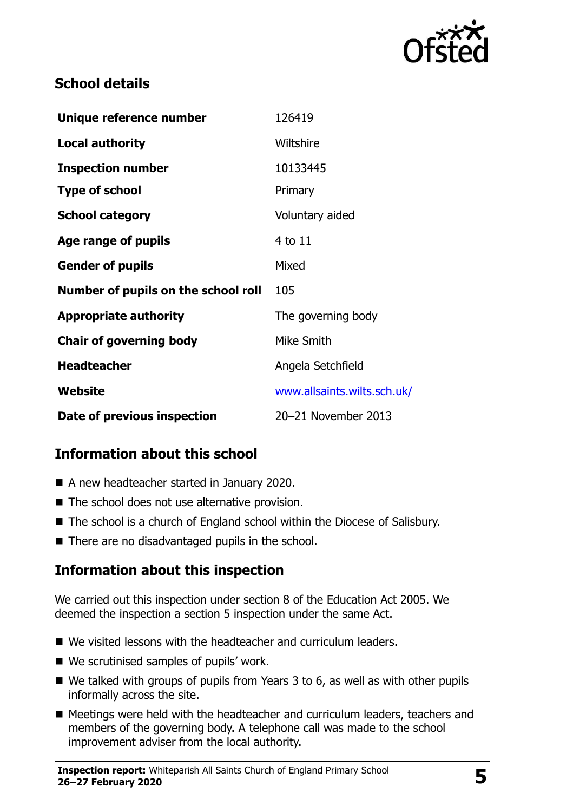

## **School details**

| Unique reference number             | 126419                      |
|-------------------------------------|-----------------------------|
| <b>Local authority</b>              | Wiltshire                   |
| <b>Inspection number</b>            | 10133445                    |
| <b>Type of school</b>               | Primary                     |
| <b>School category</b>              | Voluntary aided             |
| Age range of pupils                 | 4 to 11                     |
| <b>Gender of pupils</b>             | Mixed                       |
| Number of pupils on the school roll | 105                         |
| <b>Appropriate authority</b>        | The governing body          |
| <b>Chair of governing body</b>      | Mike Smith                  |
| <b>Headteacher</b>                  | Angela Setchfield           |
| Website                             | www.allsaints.wilts.sch.uk/ |
| Date of previous inspection         | 20-21 November 2013         |

# **Information about this school**

- A new headteacher started in January 2020.
- The school does not use alternative provision.
- The school is a church of England school within the Diocese of Salisbury.
- There are no disadvantaged pupils in the school.

## **Information about this inspection**

We carried out this inspection under section 8 of the Education Act 2005. We deemed the inspection a section 5 inspection under the same Act.

- We visited lessons with the headteacher and curriculum leaders.
- We scrutinised samples of pupils' work.
- $\blacksquare$  We talked with groups of pupils from Years 3 to 6, as well as with other pupils informally across the site.
- Meetings were held with the headteacher and curriculum leaders, teachers and members of the governing body. A telephone call was made to the school improvement adviser from the local authority.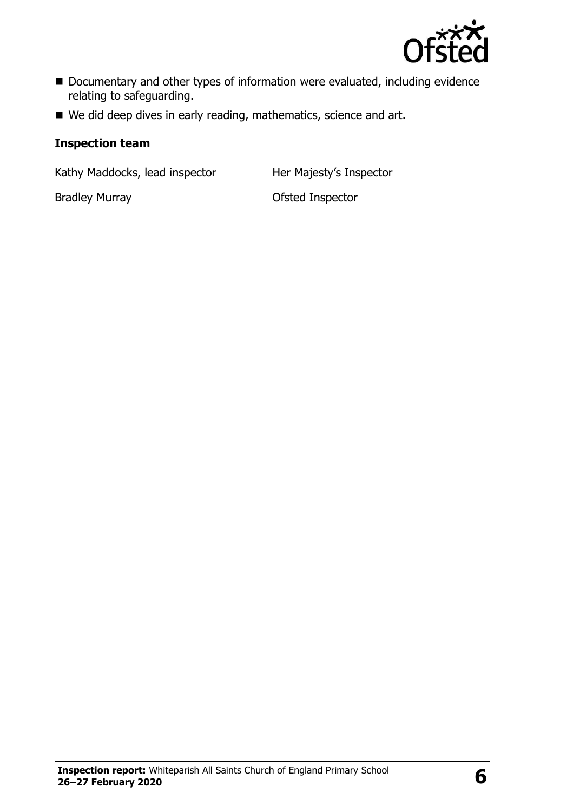

- Documentary and other types of information were evaluated, including evidence relating to safeguarding.
- We did deep dives in early reading, mathematics, science and art.

#### **Inspection team**

Kathy Maddocks, lead inspector Her Majesty's Inspector

Bradley Murray **Distribute Control** Ofsted Inspector